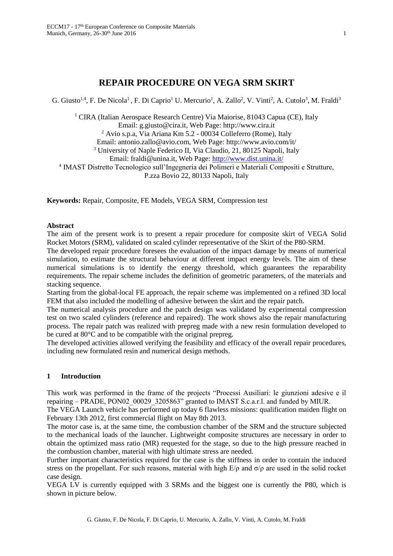# **REPAIR PROCEDURE ON VEGA SRM SKIRT**

G. Giusto<sup>1,4</sup>, F. De Nicola<sup>1</sup>, F. Di Caprio<sup>1</sup> U. Mercurio<sup>1</sup>, A. Zallo<sup>2</sup>, V. Vinti<sup>2</sup>, A. Cutolo<sup>3</sup>, M. Fraldi<sup>3</sup>

<sup>1</sup> CIRA (Italian Aerospace Research Centre) Via Maiorise, 81043 Capua (CE), Italy Email: g.giusto@cira.it, Web Page: http://www.cira.it <sup>2</sup> Avio s.p.a, Via Ariana Km 5.2 - 00034 Colleferro (Rome), Italy Email: antonio.zallo@avio.com, Web Page: http://www.avio.com/it/ <sup>3</sup> University of Naple Federico II, Via Claudio, 21, 80125 Napoli, Italy Email: fraldi@unina.it, Web Page: http://www.dist.unina.it/

4 IMAST Distretto Tecnologico sull'Ingegneria dei Polimeri e Materiali Compositi e Strutture,

P.zza Bovio 22, 80133 Napoli, Italy

**Keywords:** Repair, Composite, FE Models, VEGA SRM, Compression test

### **Abstract**

The aim of the present work is to present a repair procedure for composite skirt of VEGA Solid Rocket Motors (SRM), validated on scaled cylinder representative of the Skirt of the P80-SRM.

The developed repair procedure foresees the evaluation of the impact damage by means of numerical simulation, to estimate the structural behaviour at different impact energy levels. The aim of these numerical simulations is to identify the energy threshold, which guarantees the reparability requirements. The repair scheme includes the definition of geometric parameters, of the materials and stacking sequence.

Starting from the global-local FE approach, the repair scheme was implemented on a refined 3D local FEM that also included the modelling of adhesive between the skirt and the repair patch.

The numerical analysis procedure and the patch design was validated by experimental compression test on two scaled cylinders (reference and repaired). The work shows also the repair manufacturing process. The repair patch was realized with prepreg made with a new resin formulation developed to be cured at 80°C and to be compatible with the original prepreg.

The developed activities allowed verifying the feasibility and efficacy of the overall repair procedures, including new formulated resin and numerical design methods.

### **1 Introduction**

This work was performed in the frame of the projects "Processi Ausiliari: le giunzioni adesive e il repairing – PRADE, PON02 00029 3205863" granted to IMAST S.c.a.r.l. and funded by MIUR.

The VEGA Launch vehicle has performed up today 6 flawless missions: qualification maiden flight on February 13th 2012, first commercial flight on May 8th 2013.

The motor case is, at the same time, the combustion chamber of the SRM and the structure subjected to the mechanical loads of the launcher. Lightweight composite structures are necessary in order to obtain the optimized mass ratio (MR) requested for the stage, so due to the high pressure reached in the combustion chamber, material with high ultimate stress are needed.

Further important characteristics required for the case is the stiffness in order to contain the induced stress on the propellant. For such reasons, material with high  $E/\rho$  and  $\sigma/\rho$  are used in the solid rocket case design.

VEGA LV is currently equipped with 3 SRMs and the biggest one is currently the P80, which is shown in picture below.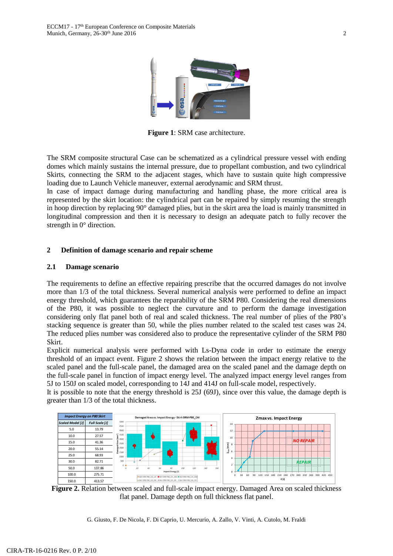

**Figure 1**: SRM case architecture.

The SRM composite structural Case can be schematized as a cylindrical pressure vessel with ending domes which mainly sustains the internal pressure, due to propellant combustion, and two cylindrical Skirts, connecting the SRM to the adjacent stages, which have to sustain quite high compressive loading due to Launch Vehicle maneuver, external aerodynamic and SRM thrust.

In case of impact damage during manufacturing and handling phase, the more critical area is represented by the skirt location: the cylindrical part can be repaired by simply resuming the strength in hoop direction by replacing 90° damaged plies, but in the skirt area the load is mainly transmitted in longitudinal compression and then it is necessary to design an adequate patch to fully recover the strength in 0° direction.

# **2 Definition of damage scenario and repair scheme**

### **2.1 Damage scenario**

The requirements to define an effective repairing prescribe that the occurred damages do not involve more than 1/3 of the total thickness. Several numerical analysis were performed to define an impact energy threshold, which guarantees the reparability of the SRM P80. Considering the real dimensions of the P80, it was possible to neglect the curvature and to perform the damage investigation considering only flat panel both of real and scaled thickness. The real number of plies of the P80's stacking sequence is greater than 50, while the plies number related to the scaled test cases was 24. The reduced plies number was considered also to produce the representative cylinder of the SRM P80 Skirt.

Explicit numerical analysis were performed with Ls-Dyna code in order to estimate the energy threshold of an impact event. Figure 2 shows the relation between the impact energy relative to the scaled panel and the full-scale panel, the damaged area on the scaled panel and the damage depth on the full-scale panel in function of impact energy level. The analyzed impact energy level ranges from 5J to 150J on scaled model, corresponding to 14J and 414J on full-scale model, respectively.

It is possible to note that the energy threshold is 25J (69J), since over this value, the damage depth is greater than 1/3 of the total thickness.



**Figure 2.** Relation between scaled and full-scale impact energy. Damaged Area on scaled thickness flat panel. Damage depth on full thickness flat panel.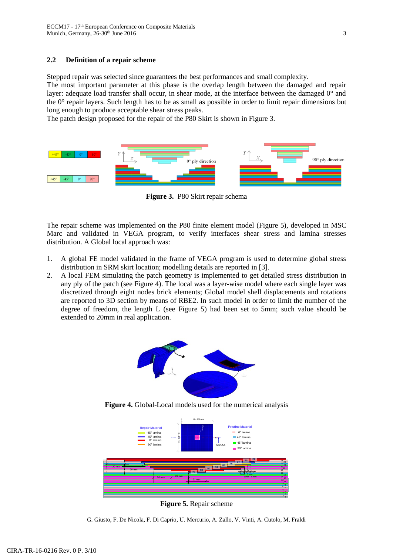# **2.2 Definition of a repair scheme**

Stepped repair was selected since guarantees the best performances and small complexity.

The most important parameter at this phase is the overlap length between the damaged and repair layer: adequate load transfer shall occur, in shear mode, at the interface between the damaged 0° and the 0° repair layers. Such length has to be as small as possible in order to limit repair dimensions but long enough to produce acceptable shear stress peaks.

The patch design proposed for the repair of the P80 Skirt is shown in Figure 3.



**Figure 3.** P80 Skirt repair schema

The repair scheme was implemented on the P80 finite element model (Figure 5), developed in MSC Marc and validated in VEGA program, to verify interfaces shear stress and lamina stresses distribution. A Global local approach was:

- 1. A global FE model validated in the frame of VEGA program is used to determine global stress distribution in SRM skirt location; modelling details are reported in [3].
- 2. A local FEM simulating the patch geometry is implemented to get detailed stress distribution in any ply of the patch (see Figure 4). The local was a layer-wise model where each single layer was discretized through eight nodes brick elements; Global model shell displacements and rotations are reported to 3D section by means of RBE2. In such model in order to limit the number of the degree of freedom, the length L (see Figure 5) had been set to 5mm; such value should be extended to 20mm in real application.



**Figure 4.** Global-Local models used for the numerical analysis



**Figure 5.** Repair scheme

G. Giusto, F. De Nicola, F. Di Caprio, U. Mercurio, A. Zallo, V. Vinti, A. Cutolo, M. Fraldi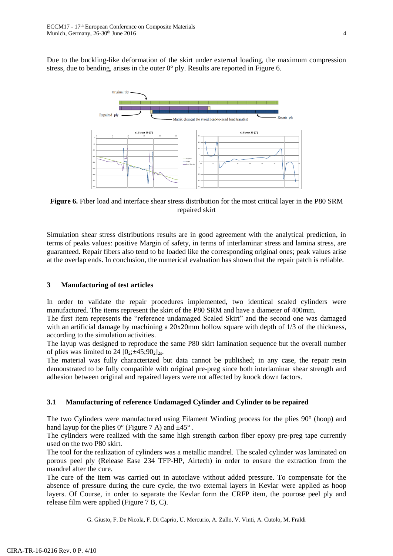Due to the buckling-like deformation of the skirt under external loading, the maximum compression stress, due to bending, arises in the outer  $0^{\circ}$  ply. Results are reported in Figure 6.



**Figure 6.** Fiber load and interface shear stress distribution for the most critical layer in the P80 SRM repaired skirt

Simulation shear stress distributions results are in good agreement with the analytical prediction, in terms of peaks values: positive Margin of safety, in terms of interlaminar stress and lamina stress, are guaranteed. Repair fibers also tend to be loaded like the corresponding original ones; peak values arise at the overlap ends. In conclusion, the numerical evaluation has shown that the repair patch is reliable.

# **3 Manufacturing of test articles**

In order to validate the repair procedures implemented, two identical scaled cylinders were manufactured. The items represent the skirt of the P80 SRM and have a diameter of 400mm.

The first item represents the "reference undamaged Scaled Skirt" and the second one was damaged with an artificial damage by machining a 20x20mm hollow square with depth of 1/3 of the thickness, according to the simulation activities.

The layup was designed to reproduce the same P80 skirt lamination sequence but the overall number of plies was limited to 24  $[0_2;\pm 45;90_2]_{2s}$ .

The material was fully characterized but data cannot be published; in any case, the repair resin demonstrated to be fully compatible with original pre-preg since both interlaminar shear strength and adhesion between original and repaired layers were not affected by knock down factors.

# **3.1 Manufacturing of reference Undamaged Cylinder and Cylinder to be repaired**

The two Cylinders were manufactured using Filament Winding process for the plies 90° (hoop) and hand layup for the plies  $0^{\circ}$  (Figure 7 A) and  $\pm 45^{\circ}$ .

The cylinders were realized with the same high strength carbon fiber epoxy pre-preg tape currently used on the two P80 skirt.

The tool for the realization of cylinders was a metallic mandrel. The scaled cylinder was laminated on porous peel ply (Release Ease 234 TFP-HP, Airtech) in order to ensure the extraction from the mandrel after the cure.

The cure of the item was carried out in autoclave without added pressure. To compensate for the absence of pressure during the cure cycle, the two external layers in Kevlar were applied as hoop layers. Of Course, in order to separate the Kevlar form the CRFP item, the pourose peel ply and release film were applied (Figure 7 B, C).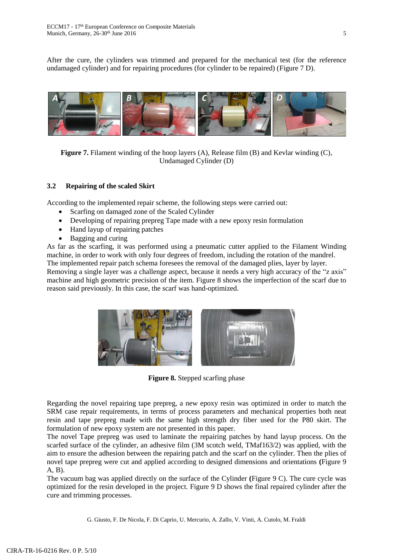After the cure, the cylinders was trimmed and prepared for the mechanical test (for the reference undamaged cylinder) and for repairing procedures (for cylinder to be repaired) (Figure 7 D).



**Figure 7.** Filament winding of the hoop layers (A), Release film (B) and Kevlar winding (C), Undamaged Cylinder (D)

# **3.2 Repairing of the scaled Skirt**

According to the implemented repair scheme, the following steps were carried out:

- Scarfing on damaged zone of the Scaled Cylinder
- Developing of repairing prepreg Tape made with a new epoxy resin formulation
- Hand layup of repairing patches
- Bagging and curing

As far as the scarfing, it was performed using a pneumatic cutter applied to the Filament Winding machine, in order to work with only four degrees of freedom, including the rotation of the mandrel. The implemented repair patch schema foresees the removal of the damaged plies, layer by layer. Removing a single layer was a challenge aspect, because it needs a very high accuracy of the "z axis" machine and high geometric precision of the item. Figure 8 shows the imperfection of the scarf due to reason said previously. In this case, the scarf was hand-optimized.



**Figure 8.** Stepped scarfing phase

Regarding the novel repairing tape prepreg, a new epoxy resin was optimized in order to match the SRM case repair requirements, in terms of process parameters and mechanical properties both neat resin and tape prepreg made with the same high strength dry fiber used for the P80 skirt. The formulation of new epoxy system are not presented in this paper.

The novel Tape prepreg was used to laminate the repairing patches by hand layup process. On the scarfed surface of the cylinder, an adhesive film (3M scotch weld, TMaf163/2) was applied, with the aim to ensure the adhesion between the repairing patch and the scarf on the cylinder. Then the plies of novel tape prepreg were cut and applied according to designed dimensions and orientations **(**Figure 9 A, B).

The vacuum bag was applied directly on the surface of the Cylinder **(**Figure 9 C). The cure cycle was optimized for the resin developed in the project. Figure 9 D shows the final repaired cylinder after the cure and trimming processes.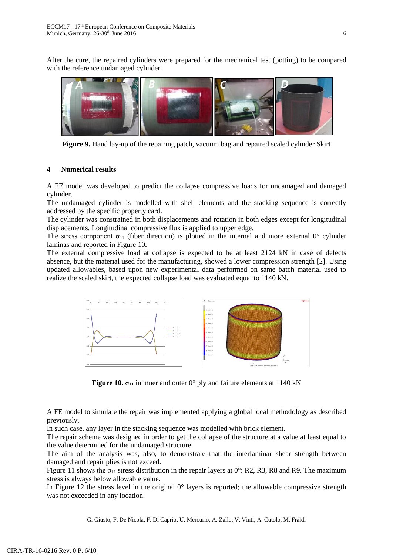After the cure, the repaired cylinders were prepared for the mechanical test (potting) to be compared with the reference undamaged cylinder.



**Figure 9.** Hand lay-up of the repairing patch, vacuum bag and repaired scaled cylinder Skirt

# **4 Numerical results**

A FE model was developed to predict the collapse compressive loads for undamaged and damaged cylinder.

The undamaged cylinder is modelled with shell elements and the stacking sequence is correctly addressed by the specific property card.

The cylinder was constrained in both displacements and rotation in both edges except for longitudinal displacements. Longitudinal compressive flux is applied to upper edge.

The stress component  $\sigma_{11}$  (fiber direction) is plotted in the internal and more external 0° cylinder laminas and reported in Figure 10**.**

The external compressive load at collapse is expected to be at least 2124 kN in case of defects absence, but the material used for the manufacturing, showed a lower compression strength [2]. Using updated allowables, based upon new experimental data performed on same batch material used to realize the scaled skirt, the expected collapse load was evaluated equal to 1140 kN.



**Figure 10.**  $\sigma_{11}$  in inner and outer 0° ply and failure elements at 1140 kN

A FE model to simulate the repair was implemented applying a global local methodology as described previously.

In such case, any layer in the stacking sequence was modelled with brick element.

The repair scheme was designed in order to get the collapse of the structure at a value at least equal to the value determined for the undamaged structure.

The aim of the analysis was, also, to demonstrate that the interlaminar shear strength between damaged and repair plies is not exceed.

Figure 11 shows the  $\sigma_{11}$  stress distribution in the repair layers at 0°: R2, R3, R8 and R9. The maximum stress is always below allowable value.

In Figure 12 the stress level in the original  $0^{\circ}$  layers is reported; the allowable compressive strength was not exceeded in any location.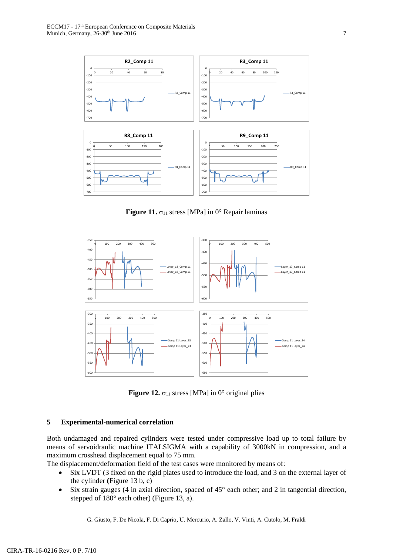

**Figure 11.**  $\sigma_{11}$  stress [MPa] in 0° Repair laminas



**Figure 12.**  $\sigma_{11}$  stress [MPa] in 0° original plies

### **5 Experimental-numerical correlation**

Both undamaged and repaired cylinders were tested under compressive load up to total failure by means of servoidraulic machine ITALSIGMA with a capability of 3000kN in compression, and a maximum crosshead displacement equal to 75 mm.

The displacement/deformation field of the test cases were monitored by means of:

- Six LVDT (3 fixed on the rigid plates used to introduce the load, and 3 on the external layer of the cylinder **(**Figure 13 b, c)
- $\bullet$  Six strain gauges (4 in axial direction, spaced of 45 $^{\circ}$  each other; and 2 in tangential direction, stepped of 180° each other) (Figure 13, a).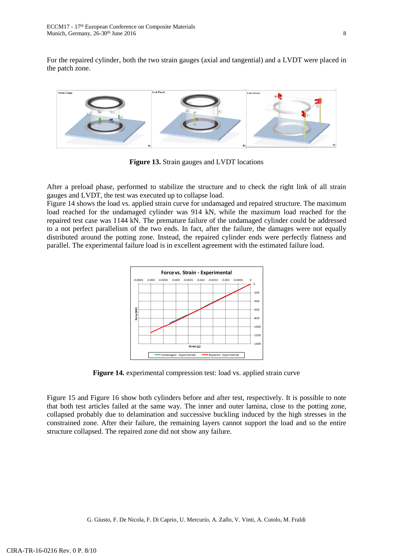For the repaired cylinder, both the two strain gauges (axial and tangential) and a LVDT were placed in the patch zone.



**Figure 13.** Strain gauges and LVDT locations

After a preload phase, performed to stabilize the structure and to check the right link of all strain gauges and LVDT, the test was executed up to collapse load.

Figure 14 shows the load vs. applied strain curve for undamaged and repaired structure. The maximum load reached for the undamaged cylinder was 914 kN, while the maximum load reached for the repaired test case was 1144 kN. The premature failure of the undamaged cylinder could be addressed to a not perfect parallelism of the two ends. In fact, after the failure, the damages were not equally distributed around the potting zone. Instead, the repaired cylinder ends were perfectly flatness and parallel. The experimental failure load is in excellent agreement with the estimated failure load.



**Figure 14.** experimental compression test: load vs. applied strain curve

Figure 15 and Figure 16 show both cylinders before and after test, respectively. It is possible to note that both test articles failed at the same way. The inner and outer lamina, close to the potting zone, collapsed probably due to delamination and successive buckling induced by the high stresses in the constrained zone. After their failure, the remaining layers cannot support the load and so the entire structure collapsed. The repaired zone did not show any failure.

G. Giusto, F. De Nicola, F. Di Caprio, U. Mercurio, A. Zallo, V. Vinti, A. Cutolo, M. Fraldi

CIRA-TR-16-0216 Rev. 0 P. 8/10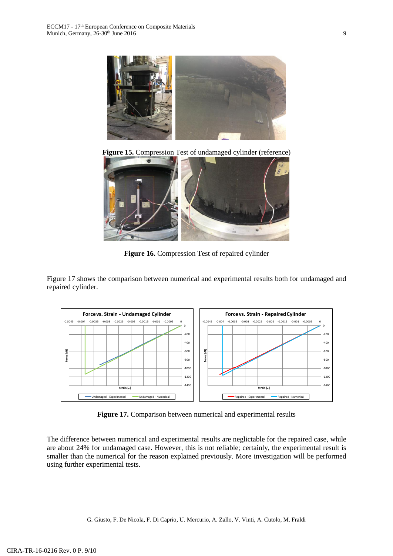

**Figure 15.** Compression Test of undamaged cylinder (reference)



**Figure 16.** Compression Test of repaired cylinder

Figure 17 shows the comparison between numerical and experimental results both for undamaged and repaired cylinder.



**Figure 17.** Comparison between numerical and experimental results

The difference between numerical and experimental results are neglictable for the repaired case, while are about 24% for undamaged case. However, this is not reliable; certainly, the experimental result is smaller than the numerical for the reason explained previously. More investigation will be performed using further experimental tests.